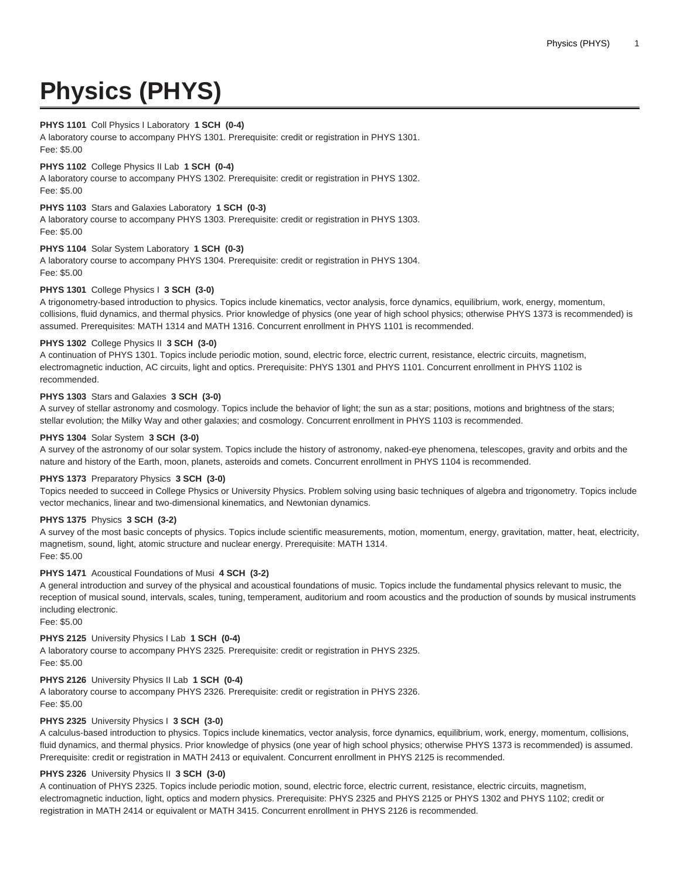# **Physics (PHYS)**

# **PHYS 1101** Coll Physics I Laboratory **1 SCH (0-4)**

A laboratory course to accompany PHYS 1301. Prerequisite: credit or registration in PHYS 1301. Fee: \$5.00

# **PHYS 1102** College Physics II Lab **1 SCH (0-4)**

A laboratory course to accompany PHYS 1302. Prerequisite: credit or registration in PHYS 1302. Fee: \$5.00

## **PHYS 1103** Stars and Galaxies Laboratory **1 SCH (0-3)**

A laboratory course to accompany PHYS 1303. Prerequisite: credit or registration in PHYS 1303. Fee: \$5.00

# **PHYS 1104** Solar System Laboratory **1 SCH (0-3)**

A laboratory course to accompany PHYS 1304. Prerequisite: credit or registration in PHYS 1304. Fee: \$5.00

## **PHYS 1301** College Physics I **3 SCH (3-0)**

A trigonometry-based introduction to physics. Topics include kinematics, vector analysis, force dynamics, equilibrium, work, energy, momentum, collisions, fluid dynamics, and thermal physics. Prior knowledge of physics (one year of high school physics; otherwise PHYS 1373 is recommended) is assumed. Prerequisites: MATH 1314 and MATH 1316. Concurrent enrollment in PHYS 1101 is recommended.

## **PHYS 1302** College Physics II **3 SCH (3-0)**

A continuation of PHYS 1301. Topics include periodic motion, sound, electric force, electric current, resistance, electric circuits, magnetism, electromagnetic induction, AC circuits, light and optics. Prerequisite: PHYS 1301 and PHYS 1101. Concurrent enrollment in PHYS 1102 is recommended.

# **PHYS 1303** Stars and Galaxies **3 SCH (3-0)**

A survey of stellar astronomy and cosmology. Topics include the behavior of light; the sun as a star; positions, motions and brightness of the stars; stellar evolution; the Milky Way and other galaxies; and cosmology. Concurrent enrollment in PHYS 1103 is recommended.

## **PHYS 1304** Solar System **3 SCH (3-0)**

A survey of the astronomy of our solar system. Topics include the history of astronomy, naked-eye phenomena, telescopes, gravity and orbits and the nature and history of the Earth, moon, planets, asteroids and comets. Concurrent enrollment in PHYS 1104 is recommended.

# **PHYS 1373** Preparatory Physics **3 SCH (3-0)**

Topics needed to succeed in College Physics or University Physics. Problem solving using basic techniques of algebra and trigonometry. Topics include vector mechanics, linear and two-dimensional kinematics, and Newtonian dynamics.

# **PHYS 1375** Physics **3 SCH (3-2)**

A survey of the most basic concepts of physics. Topics include scientific measurements, motion, momentum, energy, gravitation, matter, heat, electricity, magnetism, sound, light, atomic structure and nuclear energy. Prerequisite: MATH 1314. Fee: \$5.00

## **PHYS 1471** Acoustical Foundations of Musi **4 SCH (3-2)**

A general introduction and survey of the physical and acoustical foundations of music. Topics include the fundamental physics relevant to music, the reception of musical sound, intervals, scales, tuning, temperament, auditorium and room acoustics and the production of sounds by musical instruments including electronic.

Fee: \$5.00

# **PHYS 2125** University Physics I Lab **1 SCH (0-4)**

A laboratory course to accompany PHYS 2325. Prerequisite: credit or registration in PHYS 2325. Fee: \$5.00

# **PHYS 2126** University Physics II Lab **1 SCH (0-4)**

A laboratory course to accompany PHYS 2326. Prerequisite: credit or registration in PHYS 2326. Fee: \$5.00

# **PHYS 2325** University Physics I **3 SCH (3-0)**

A calculus-based introduction to physics. Topics include kinematics, vector analysis, force dynamics, equilibrium, work, energy, momentum, collisions, fluid dynamics, and thermal physics. Prior knowledge of physics (one year of high school physics; otherwise PHYS 1373 is recommended) is assumed. Prerequisite: credit or registration in MATH 2413 or equivalent. Concurrent enrollment in PHYS 2125 is recommended.

## **PHYS 2326** University Physics II **3 SCH (3-0)**

A continuation of PHYS 2325. Topics include periodic motion, sound, electric force, electric current, resistance, electric circuits, magnetism, electromagnetic induction, light, optics and modern physics. Prerequisite: PHYS 2325 and PHYS 2125 or PHYS 1302 and PHYS 1102; credit or registration in MATH 2414 or equivalent or MATH 3415. Concurrent enrollment in PHYS 2126 is recommended.